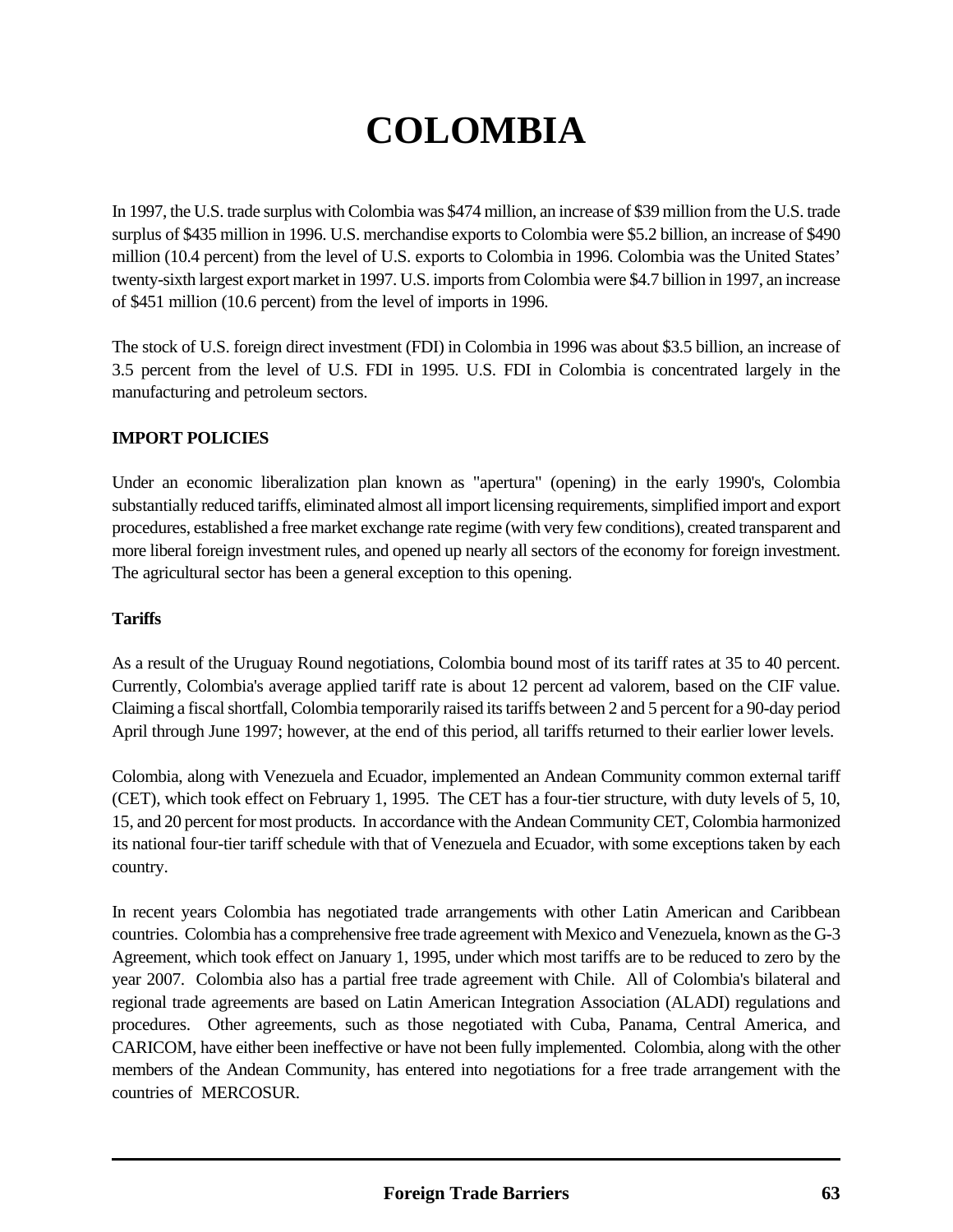# **COLOMBIA**

In 1997, the U.S. trade surplus with Colombia was \$474 million, an increase of \$39 million from the U.S. trade surplus of \$435 million in 1996. U.S. merchandise exports to Colombia were \$5.2 billion, an increase of \$490 million (10.4 percent) from the level of U.S. exports to Colombia in 1996. Colombia was the United States' twenty-sixth largest export market in 1997. U.S. imports from Colombia were \$4.7 billion in 1997, an increase of \$451 million (10.6 percent) from the level of imports in 1996.

The stock of U.S. foreign direct investment (FDI) in Colombia in 1996 was about \$3.5 billion, an increase of 3.5 percent from the level of U.S. FDI in 1995. U.S. FDI in Colombia is concentrated largely in the manufacturing and petroleum sectors.

### **IMPORT POLICIES**

Under an economic liberalization plan known as "apertura" (opening) in the early 1990's, Colombia substantially reduced tariffs, eliminated almost all import licensing requirements, simplified import and export procedures, established a free market exchange rate regime (with very few conditions), created transparent and more liberal foreign investment rules, and opened up nearly all sectors of the economy for foreign investment. The agricultural sector has been a general exception to this opening.

#### **Tariffs**

As a result of the Uruguay Round negotiations, Colombia bound most of its tariff rates at 35 to 40 percent. Currently, Colombia's average applied tariff rate is about 12 percent ad valorem, based on the CIF value. Claiming a fiscal shortfall, Colombia temporarily raised its tariffs between 2 and 5 percent for a 90-day period April through June 1997; however, at the end of this period, all tariffs returned to their earlier lower levels.

Colombia, along with Venezuela and Ecuador, implemented an Andean Community common external tariff (CET), which took effect on February 1, 1995. The CET has a four-tier structure, with duty levels of 5, 10, 15, and 20 percent for most products. In accordance with the Andean Community CET, Colombia harmonized its national four-tier tariff schedule with that of Venezuela and Ecuador, with some exceptions taken by each country.

In recent years Colombia has negotiated trade arrangements with other Latin American and Caribbean countries. Colombia has a comprehensive free trade agreement with Mexico and Venezuela, known as the G-3 Agreement, which took effect on January 1, 1995, under which most tariffs are to be reduced to zero by the year 2007. Colombia also has a partial free trade agreement with Chile. All of Colombia's bilateral and regional trade agreements are based on Latin American Integration Association (ALADI) regulations and procedures. Other agreements, such as those negotiated with Cuba, Panama, Central America, and CARICOM, have either been ineffective or have not been fully implemented. Colombia, along with the other members of the Andean Community, has entered into negotiations for a free trade arrangement with the countries of MERCOSUR.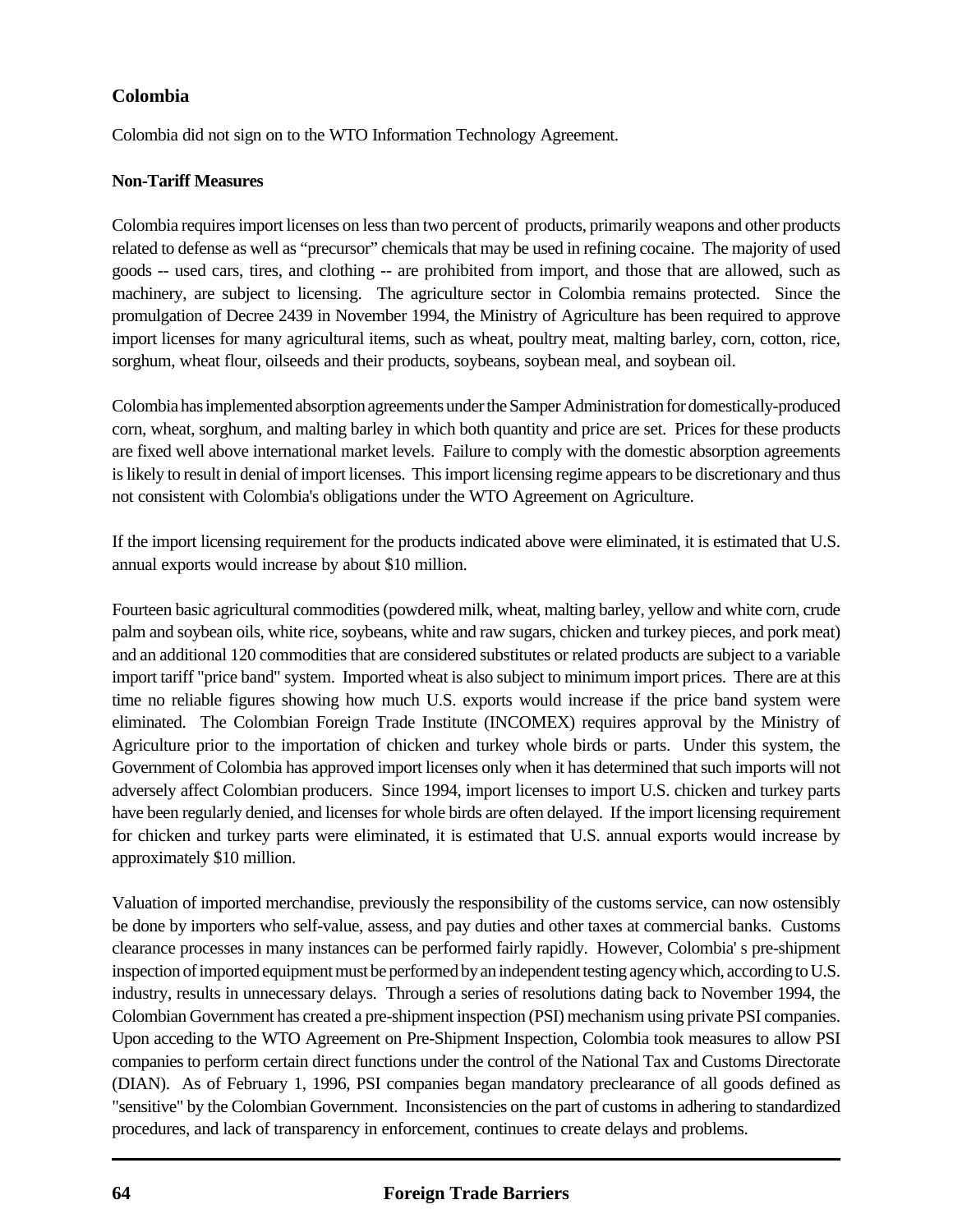Colombia did not sign on to the WTO Information Technology Agreement.

### **Non-Tariff Measures**

Colombia requires import licenses on less than two percent of products, primarily weapons and other products related to defense as well as "precursor" chemicals that may be used in refining cocaine. The majority of used goods -- used cars, tires, and clothing -- are prohibited from import, and those that are allowed, such as machinery, are subject to licensing. The agriculture sector in Colombia remains protected. Since the promulgation of Decree 2439 in November 1994, the Ministry of Agriculture has been required to approve import licenses for many agricultural items, such as wheat, poultry meat, malting barley, corn, cotton, rice, sorghum, wheat flour, oilseeds and their products, soybeans, soybean meal, and soybean oil.

Colombia has implemented absorption agreements under the Samper Administration for domestically-produced corn, wheat, sorghum, and malting barley in which both quantity and price are set. Prices for these products are fixed well above international market levels. Failure to comply with the domestic absorption agreements is likely to result in denial of import licenses. This import licensing regime appears to be discretionary and thus not consistent with Colombia's obligations under the WTO Agreement on Agriculture.

If the import licensing requirement for the products indicated above were eliminated, it is estimated that U.S. annual exports would increase by about \$10 million.

Fourteen basic agricultural commodities (powdered milk, wheat, malting barley, yellow and white corn, crude palm and soybean oils, white rice, soybeans, white and raw sugars, chicken and turkey pieces, and pork meat) and an additional 120 commodities that are considered substitutes or related products are subject to a variable import tariff "price band" system. Imported wheat is also subject to minimum import prices. There are at this time no reliable figures showing how much U.S. exports would increase if the price band system were eliminated. The Colombian Foreign Trade Institute (INCOMEX) requires approval by the Ministry of Agriculture prior to the importation of chicken and turkey whole birds or parts. Under this system, the Government of Colombia has approved import licenses only when it has determined that such imports will not adversely affect Colombian producers. Since 1994, import licenses to import U.S. chicken and turkey parts have been regularly denied, and licenses for whole birds are often delayed. If the import licensing requirement for chicken and turkey parts were eliminated, it is estimated that U.S. annual exports would increase by approximately \$10 million.

Valuation of imported merchandise, previously the responsibility of the customs service, can now ostensibly be done by importers who self-value, assess, and pay duties and other taxes at commercial banks. Customs clearance processes in many instances can be performed fairly rapidly. However, Colombia' s pre-shipment inspection of imported equipment must be performed by an independent testing agency which, according to U.S. industry, results in unnecessary delays. Through a series of resolutions dating back to November 1994, the Colombian Government has created a pre-shipment inspection (PSI) mechanism using private PSI companies. Upon acceding to the WTO Agreement on Pre-Shipment Inspection, Colombia took measures to allow PSI companies to perform certain direct functions under the control of the National Tax and Customs Directorate (DIAN). As of February 1, 1996, PSI companies began mandatory preclearance of all goods defined as "sensitive" by the Colombian Government. Inconsistencies on the part of customs in adhering to standardized procedures, and lack of transparency in enforcement, continues to create delays and problems.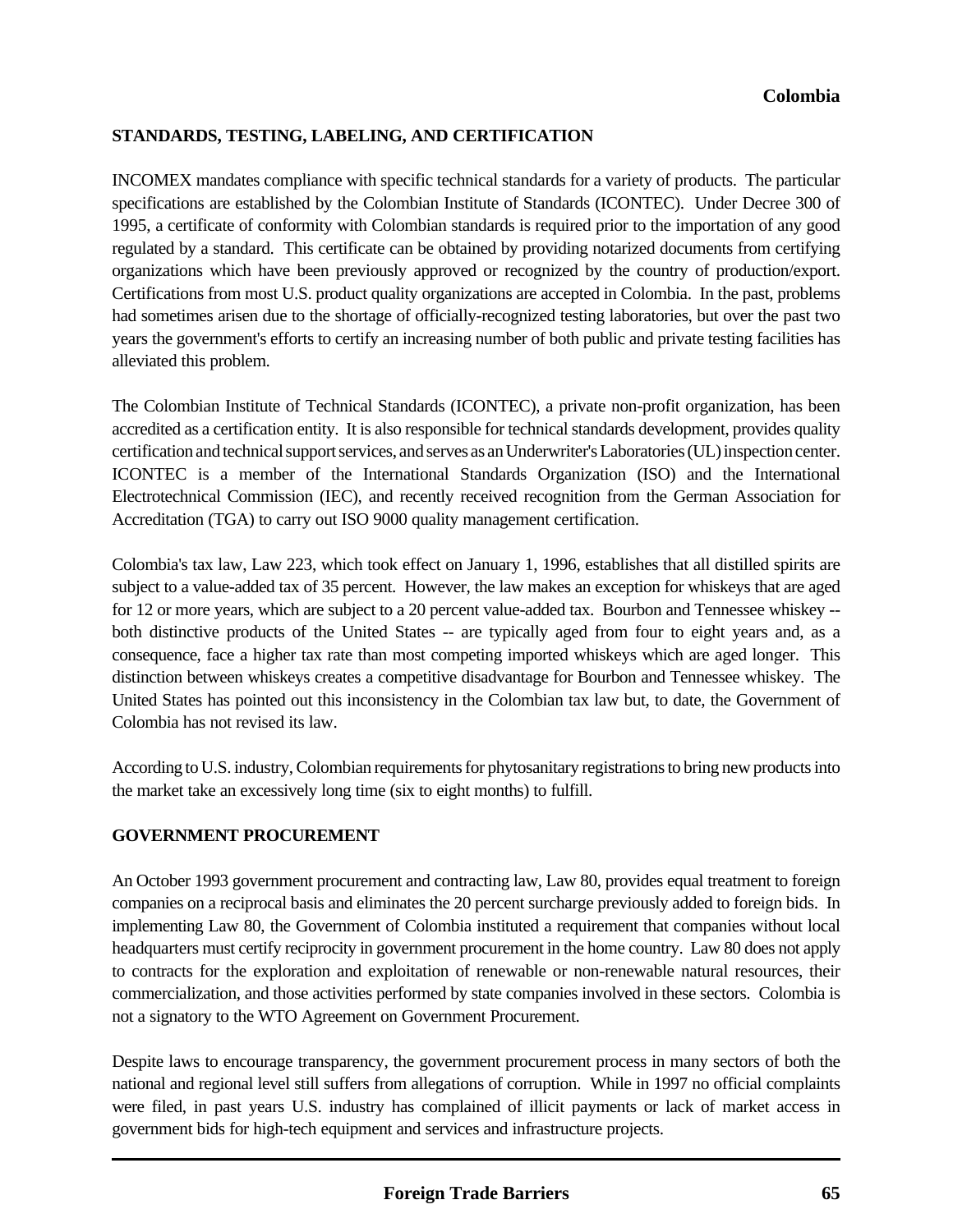### **STANDARDS, TESTING, LABELING, AND CERTIFICATION**

INCOMEX mandates compliance with specific technical standards for a variety of products. The particular specifications are established by the Colombian Institute of Standards (ICONTEC). Under Decree 300 of 1995, a certificate of conformity with Colombian standards is required prior to the importation of any good regulated by a standard. This certificate can be obtained by providing notarized documents from certifying organizations which have been previously approved or recognized by the country of production/export. Certifications from most U.S. product quality organizations are accepted in Colombia. In the past, problems had sometimes arisen due to the shortage of officially-recognized testing laboratories, but over the past two years the government's efforts to certify an increasing number of both public and private testing facilities has alleviated this problem.

The Colombian Institute of Technical Standards (ICONTEC), a private non-profit organization, has been accredited as a certification entity. It is also responsible for technical standards development, provides quality certification and technical support services, and serves as an Underwriter's Laboratories (UL) inspection center. ICONTEC is a member of the International Standards Organization (ISO) and the International Electrotechnical Commission (IEC), and recently received recognition from the German Association for Accreditation (TGA) to carry out ISO 9000 quality management certification.

Colombia's tax law, Law 223, which took effect on January 1, 1996, establishes that all distilled spirits are subject to a value-added tax of 35 percent. However, the law makes an exception for whiskeys that are aged for 12 or more years, which are subject to a 20 percent value-added tax. Bourbon and Tennessee whiskey - both distinctive products of the United States -- are typically aged from four to eight years and, as a consequence, face a higher tax rate than most competing imported whiskeys which are aged longer. This distinction between whiskeys creates a competitive disadvantage for Bourbon and Tennessee whiskey. The United States has pointed out this inconsistency in the Colombian tax law but, to date, the Government of Colombia has not revised its law.

According to U.S. industry, Colombian requirements for phytosanitary registrations to bring new products into the market take an excessively long time (six to eight months) to fulfill.

#### **GOVERNMENT PROCUREMENT**

An October 1993 government procurement and contracting law, Law 80, provides equal treatment to foreign companies on a reciprocal basis and eliminates the 20 percent surcharge previously added to foreign bids. In implementing Law 80, the Government of Colombia instituted a requirement that companies without local headquarters must certify reciprocity in government procurement in the home country. Law 80 does not apply to contracts for the exploration and exploitation of renewable or non-renewable natural resources, their commercialization, and those activities performed by state companies involved in these sectors. Colombia is not a signatory to the WTO Agreement on Government Procurement.

Despite laws to encourage transparency, the government procurement process in many sectors of both the national and regional level still suffers from allegations of corruption. While in 1997 no official complaints were filed, in past years U.S. industry has complained of illicit payments or lack of market access in government bids for high-tech equipment and services and infrastructure projects.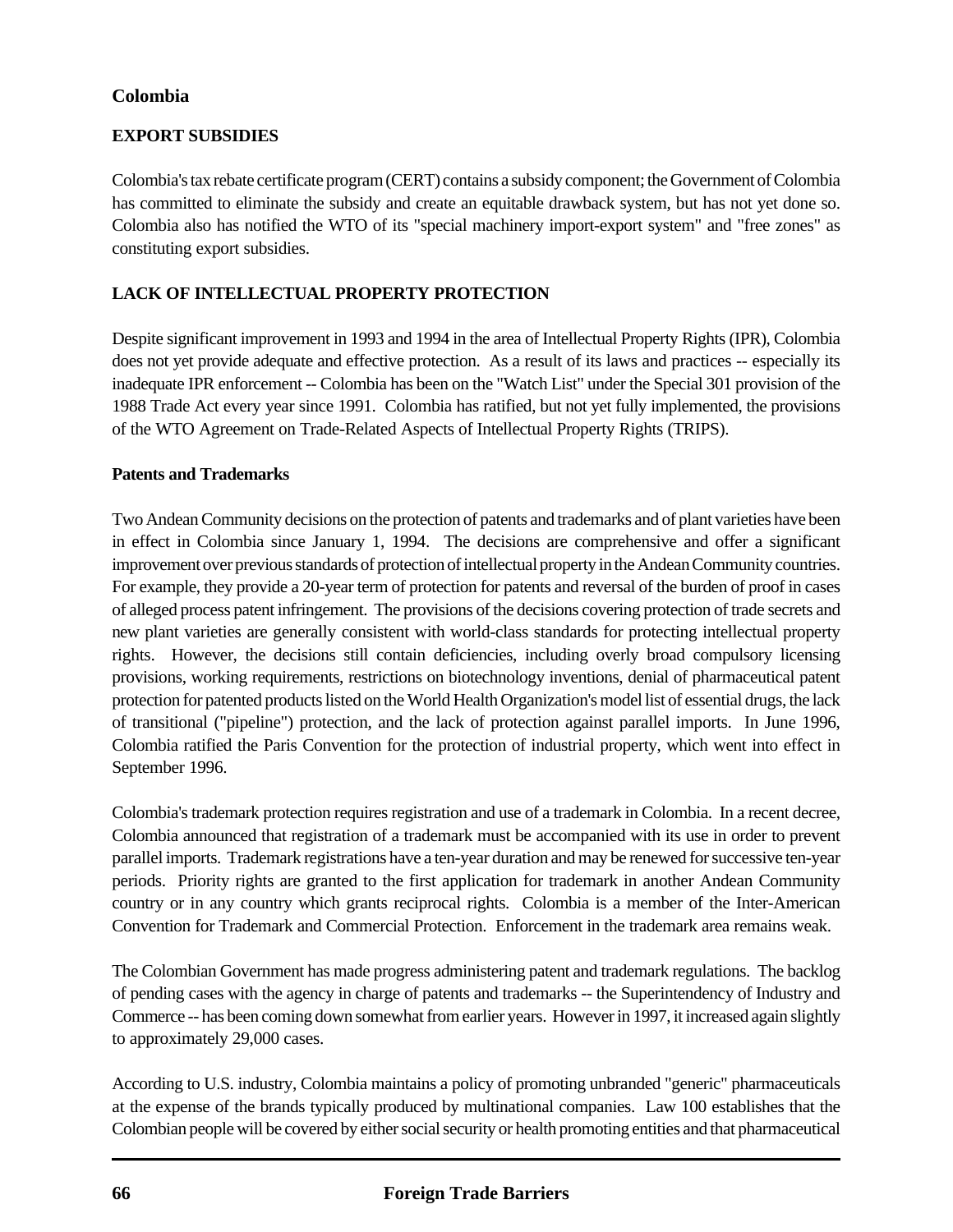## **EXPORT SUBSIDIES**

Colombia's tax rebate certificate program (CERT) contains a subsidy component; the Government of Colombia has committed to eliminate the subsidy and create an equitable drawback system, but has not yet done so. Colombia also has notified the WTO of its "special machinery import-export system" and "free zones" as constituting export subsidies.

## **LACK OF INTELLECTUAL PROPERTY PROTECTION**

Despite significant improvement in 1993 and 1994 in the area of Intellectual Property Rights (IPR), Colombia does not yet provide adequate and effective protection. As a result of its laws and practices -- especially its inadequate IPR enforcement -- Colombia has been on the "Watch List" under the Special 301 provision of the 1988 Trade Act every year since 1991. Colombia has ratified, but not yet fully implemented, the provisions of the WTO Agreement on Trade-Related Aspects of Intellectual Property Rights (TRIPS).

#### **Patents and Trademarks**

Two Andean Community decisions on the protection of patents and trademarks and of plant varieties have been in effect in Colombia since January 1, 1994. The decisions are comprehensive and offer a significant improvement over previous standards of protection of intellectual property in the Andean Community countries. For example, they provide a 20-year term of protection for patents and reversal of the burden of proof in cases of alleged process patent infringement. The provisions of the decisions covering protection of trade secrets and new plant varieties are generally consistent with world-class standards for protecting intellectual property rights. However, the decisions still contain deficiencies, including overly broad compulsory licensing provisions, working requirements, restrictions on biotechnology inventions, denial of pharmaceutical patent protection for patented products listed on the World Health Organization's model list of essential drugs, the lack of transitional ("pipeline") protection, and the lack of protection against parallel imports. In June 1996, Colombia ratified the Paris Convention for the protection of industrial property, which went into effect in September 1996.

Colombia's trademark protection requires registration and use of a trademark in Colombia. In a recent decree, Colombia announced that registration of a trademark must be accompanied with its use in order to prevent parallel imports. Trademark registrations have a ten-year duration and may be renewed for successive ten-year periods. Priority rights are granted to the first application for trademark in another Andean Community country or in any country which grants reciprocal rights. Colombia is a member of the Inter-American Convention for Trademark and Commercial Protection. Enforcement in the trademark area remains weak.

The Colombian Government has made progress administering patent and trademark regulations. The backlog of pending cases with the agency in charge of patents and trademarks -- the Superintendency of Industry and Commerce -- has been coming down somewhat from earlier years. However in 1997, it increased again slightly to approximately 29,000 cases.

According to U.S. industry, Colombia maintains a policy of promoting unbranded "generic" pharmaceuticals at the expense of the brands typically produced by multinational companies. Law 100 establishes that the Colombian people will be covered by either social security or health promoting entities and that pharmaceutical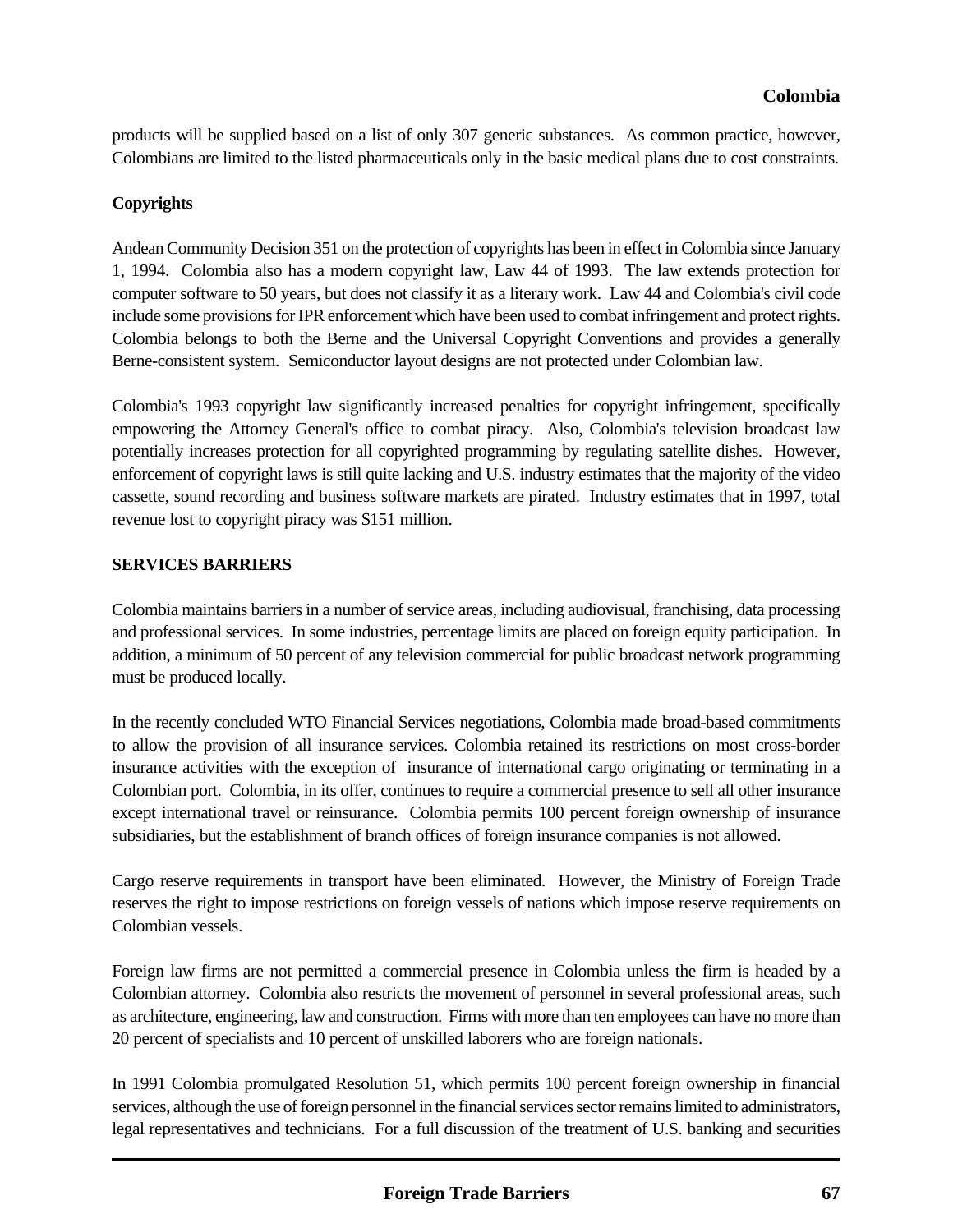products will be supplied based on a list of only 307 generic substances. As common practice, however, Colombians are limited to the listed pharmaceuticals only in the basic medical plans due to cost constraints.

### **Copyrights**

Andean Community Decision 351 on the protection of copyrights has been in effect in Colombia since January 1, 1994. Colombia also has a modern copyright law, Law 44 of 1993. The law extends protection for computer software to 50 years, but does not classify it as a literary work. Law 44 and Colombia's civil code include some provisions for IPR enforcement which have been used to combat infringement and protect rights. Colombia belongs to both the Berne and the Universal Copyright Conventions and provides a generally Berne-consistent system. Semiconductor layout designs are not protected under Colombian law.

Colombia's 1993 copyright law significantly increased penalties for copyright infringement, specifically empowering the Attorney General's office to combat piracy. Also, Colombia's television broadcast law potentially increases protection for all copyrighted programming by regulating satellite dishes. However, enforcement of copyright laws is still quite lacking and U.S. industry estimates that the majority of the video cassette, sound recording and business software markets are pirated. Industry estimates that in 1997, total revenue lost to copyright piracy was \$151 million.

### **SERVICES BARRIERS**

Colombia maintains barriers in a number of service areas, including audiovisual, franchising, data processing and professional services. In some industries, percentage limits are placed on foreign equity participation. In addition, a minimum of 50 percent of any television commercial for public broadcast network programming must be produced locally.

In the recently concluded WTO Financial Services negotiations, Colombia made broad-based commitments to allow the provision of all insurance services. Colombia retained its restrictions on most cross-border insurance activities with the exception of insurance of international cargo originating or terminating in a Colombian port. Colombia, in its offer, continues to require a commercial presence to sell all other insurance except international travel or reinsurance. Colombia permits 100 percent foreign ownership of insurance subsidiaries, but the establishment of branch offices of foreign insurance companies is not allowed.

Cargo reserve requirements in transport have been eliminated. However, the Ministry of Foreign Trade reserves the right to impose restrictions on foreign vessels of nations which impose reserve requirements on Colombian vessels.

Foreign law firms are not permitted a commercial presence in Colombia unless the firm is headed by a Colombian attorney. Colombia also restricts the movement of personnel in several professional areas, such as architecture, engineering, law and construction. Firms with more than ten employees can have no more than 20 percent of specialists and 10 percent of unskilled laborers who are foreign nationals.

In 1991 Colombia promulgated Resolution 51, which permits 100 percent foreign ownership in financial services, although the use of foreign personnel in the financial services sector remains limited to administrators, legal representatives and technicians. For a full discussion of the treatment of U.S. banking and securities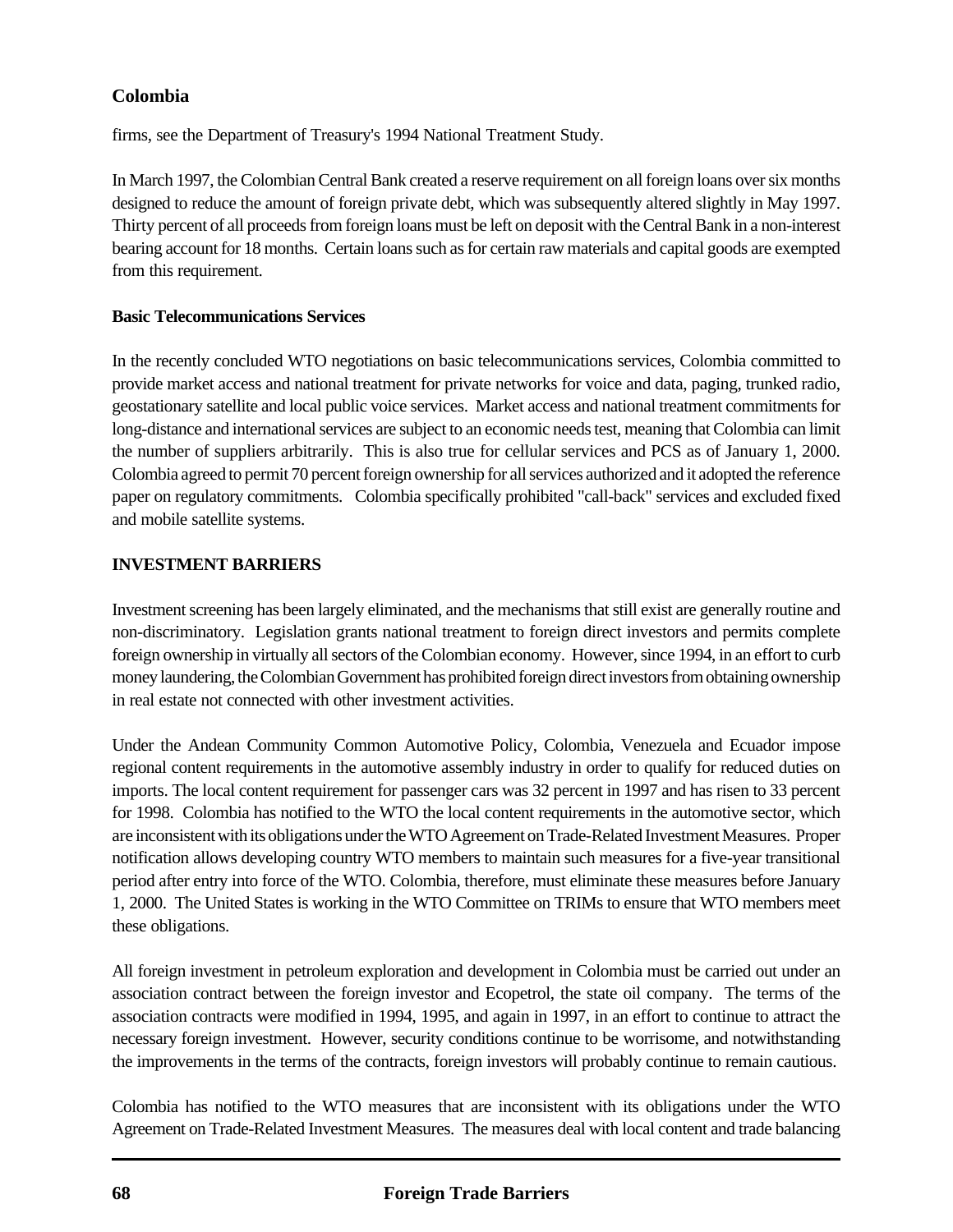firms, see the Department of Treasury's 1994 National Treatment Study.

In March 1997, the Colombian Central Bank created a reserve requirement on all foreign loans over six months designed to reduce the amount of foreign private debt, which was subsequently altered slightly in May 1997. Thirty percent of all proceeds from foreign loans must be left on deposit with the Central Bank in a non-interest bearing account for 18 months. Certain loans such as for certain raw materials and capital goods are exempted from this requirement.

### **Basic Telecommunications Services**

In the recently concluded WTO negotiations on basic telecommunications services, Colombia committed to provide market access and national treatment for private networks for voice and data, paging, trunked radio, geostationary satellite and local public voice services. Market access and national treatment commitments for long-distance and international services are subject to an economic needs test, meaning that Colombia can limit the number of suppliers arbitrarily. This is also true for cellular services and PCS as of January 1, 2000. Colombia agreed to permit 70 percent foreign ownership for all services authorized and it adopted the reference paper on regulatory commitments. Colombia specifically prohibited "call-back" services and excluded fixed and mobile satellite systems.

## **INVESTMENT BARRIERS**

Investment screening has been largely eliminated, and the mechanisms that still exist are generally routine and non-discriminatory. Legislation grants national treatment to foreign direct investors and permits complete foreign ownership in virtually all sectors of the Colombian economy. However, since 1994, in an effort to curb money laundering, the Colombian Government has prohibited foreign direct investors from obtaining ownership in real estate not connected with other investment activities.

Under the Andean Community Common Automotive Policy, Colombia, Venezuela and Ecuador impose regional content requirements in the automotive assembly industry in order to qualify for reduced duties on imports. The local content requirement for passenger cars was 32 percent in 1997 and has risen to 33 percent for 1998. Colombia has notified to the WTO the local content requirements in the automotive sector, which are inconsistent with its obligations under the WTO Agreement on Trade-Related Investment Measures. Proper notification allows developing country WTO members to maintain such measures for a five-year transitional period after entry into force of the WTO. Colombia, therefore, must eliminate these measures before January 1, 2000. The United States is working in the WTO Committee on TRIMs to ensure that WTO members meet these obligations.

All foreign investment in petroleum exploration and development in Colombia must be carried out under an association contract between the foreign investor and Ecopetrol, the state oil company. The terms of the association contracts were modified in 1994, 1995, and again in 1997, in an effort to continue to attract the necessary foreign investment. However, security conditions continue to be worrisome, and notwithstanding the improvements in the terms of the contracts, foreign investors will probably continue to remain cautious.

Colombia has notified to the WTO measures that are inconsistent with its obligations under the WTO Agreement on Trade-Related Investment Measures. The measures deal with local content and trade balancing